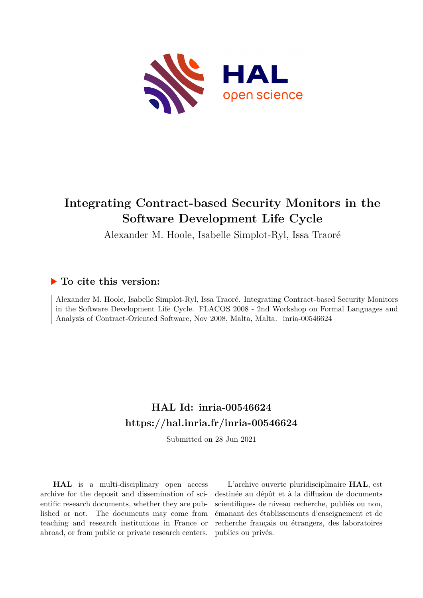

# **Integrating Contract-based Security Monitors in the Software Development Life Cycle**

Alexander M. Hoole, Isabelle Simplot-Ryl, Issa Traoré

### **To cite this version:**

Alexander M. Hoole, Isabelle Simplot-Ryl, Issa Traoré. Integrating Contract-based Security Monitors in the Software Development Life Cycle. FLACOS 2008 - 2nd Workshop on Formal Languages and Analysis of Contract-Oriented Software, Nov 2008, Malta, Malta. inria-00546624

## **HAL Id: inria-00546624 <https://hal.inria.fr/inria-00546624>**

Submitted on 28 Jun 2021

**HAL** is a multi-disciplinary open access archive for the deposit and dissemination of scientific research documents, whether they are published or not. The documents may come from teaching and research institutions in France or abroad, or from public or private research centers.

L'archive ouverte pluridisciplinaire **HAL**, est destinée au dépôt et à la diffusion de documents scientifiques de niveau recherche, publiés ou non, émanant des établissements d'enseignement et de recherche français ou étrangers, des laboratoires publics ou privés.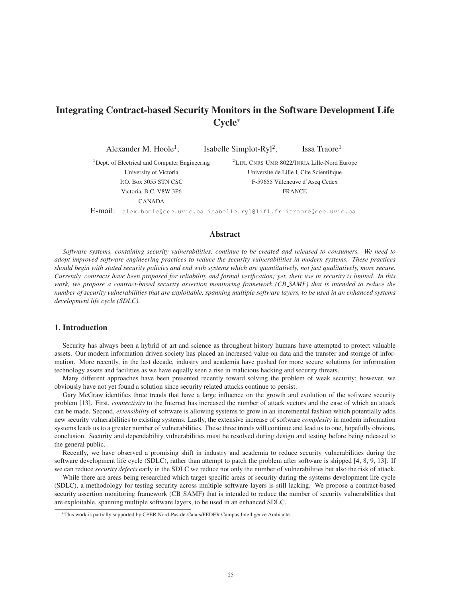### Integrating Contract-based Security Monitors in the Software Development Life Cycle<sup>∗</sup>

Alexander M. Hoole<sup>1</sup>, Isabelle Simplot-Ryl<sup>2</sup>, Issa Traore<sup>1</sup> <sup>1</sup>Dept. of Electrical and Computer Engineering University of Victoria P.O. Box 3055 STN CSC Victoria, B.C. V8W 3P6 CANADA <sup>2</sup>LIFL CNRS UMR 8022/INRIA Lille-Nord Europe Universite de Lille I, Cite Scientifique F-59655 Villeneuve d'Ascq Cedex **FRANCE** E-mail: alex.hoole@ece.uvic.ca isabelle.ryl@lifl.fr itraore@ece.uvic.ca

#### Abstract

*Software systems, containing security vulnerabilities, continue to be created and released to consumers. We need to adopt improved software engineering practices to reduce the security vulnerabilities in modern systems. These practices should begin with stated security policies and end with systems which are quantitatively, not just qualitatively, more secure. Currently, contracts have been proposed for reliability and formal verification; yet, their use in security is limited. In this work, we propose a contract-based security assertion monitoring framework (CB SAMF) that is intended to reduce the number of security vulnerabilities that are exploitable, spanning multiple software layers, to be used in an enhanced systems development life cycle (SDLC).*

#### 1. Introduction

Security has always been a hybrid of art and science as throughout history humans have attempted to protect valuable assets. Our modern information driven society has placed an increased value on data and the transfer and storage of information. More recently, in the last decade, industry and academia have pushed for more secure solutions for information technology assets and facilities as we have equally seen a rise in malicious hacking and security threats.

Many different approaches have been presented recently toward solving the problem of weak security; however, we obviously have not yet found a solution since security related attacks continue to persist.

Gary McGraw identifies three trends that have a large influence on the growth and evolution of the software security problem [13]. First, *connectivity* to the Internet has increased the number of attack vectors and the ease of which an attack can be made. Second, *extensibility* of software is allowing systems to grow in an incremental fashion which potentially adds new security vulnerabilities to existing systems. Lastly, the extensive increase of software *complexity* in modern information systems leads us to a greater number of vulnerabilities. These three trends will continue and lead us to one, hopefully obvious, conclusion. Security and dependability vulnerabilities must be resolved during design and testing before being released to the general public.

Recently, we have observed a promising shift in industry and academia to reduce security vulnerabilities during the software development life cycle (SDLC), rather than attempt to patch the problem after software is shipped [4, 8, 9, 13]. If we can reduce *security defects* early in the SDLC we reduce not only the number of vulnerabilities but also the risk of attack.

While there are areas being researched which target specific areas of security during the systems development life cycle (SDLC), a methodology for testing security across multiple software layers is still lacking. We propose a contract-based security assertion monitoring framework (CB SAMF) that is intended to reduce the number of security vulnerabilities that are exploitable, spanning multiple software layers, to be used in an enhanced SDLC.

<sup>∗</sup>This work is partially supported by CPER Nord-Pas-de-Calais/FEDER Campus Intelligence Ambiante.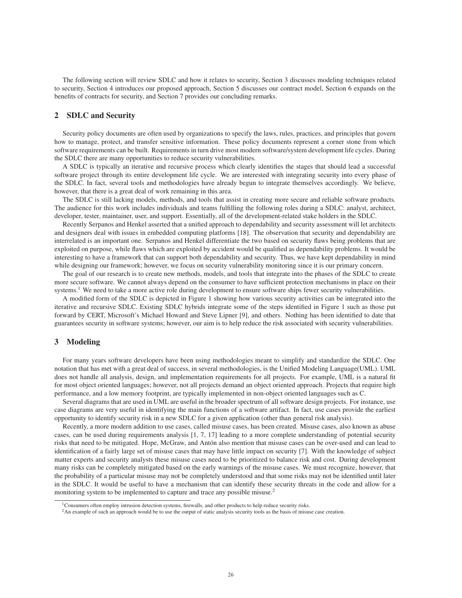The following section will review SDLC and how it relates to security, Section 3 discusses modeling techniques related to security, Section 4 introduces our proposed approach, Section 5 discusses our contract model, Section 6 expands on the benefits of contracts for security, and Section 7 provides our concluding remarks.

#### 2 SDLC and Security

Security policy documents are often used by organizations to specify the laws, rules, practices, and principles that govern how to manage, protect, and transfer sensitive information. These policy documents represent a corner stone from which software requirements can be built. Requirements in turn drive most modern software/system development life cycles. During the SDLC there are many opportunities to reduce security vulnerabilities.

A SDLC is typically an iterative and recursive process which clearly identifies the stages that should lead a successful software project through its entire development life cycle. We are interested with integrating security into every phase of the SDLC. In fact, several tools and methodologies have already begun to integrate themselves accordingly. We believe, however, that there is a great deal of work remaining in this area.

The SDLC is still lacking models, methods, and tools that assist in creating more secure and reliable software products. The audience for this work includes individuals and teams fulfilling the following roles during a SDLC: analyst, architect, developer, tester, maintainer, user, and support. Essentially, all of the development-related stake holders in the SDLC.

Recently Serpanos and Henkel asserted that a unified approach to dependability and security assessment will let architects and designers deal with issues in embedded computing platforms [18]. The observation that security and dependability are interrelated is an important one. Serpanos and Henkel differentiate the two based on security flaws being problems that are exploited on purpose, while flaws which are exploited by accident would be qualified as dependability problems. It would be interesting to have a framework that can support both dependability and security. Thus, we have kept dependability in mind while designing our framework; however, we focus on security vulnerability monitoring since it is our primary concern.

The goal of our research is to create new methods, models, and tools that integrate into the phases of the SDLC to create more secure software. We cannot always depend on the consumer to have sufficient protection mechanisms in place on their systems.<sup>1</sup> We need to take a more active role during development to ensure software ships fewer security vulnerabilities.

A modified form of the SDLC is depicted in Figure 1 showing how various security activities can be integrated into the iterative and recursive SDLC. Existing SDLC hybrids integrate some of the steps identified in Figure 1 such as those put forward by CERT, Microsoft's Michael Howard and Steve Lipner [9], and others. Nothing has been identified to date that guarantees security in software systems; however, our aim is to help reduce the risk associated with security vulnerabilities.

#### 3 Modeling

For many years software developers have been using methodologies meant to simplify and standardize the SDLC. One notation that has met with a great deal of success, in several methodologies, is the Unified Modeling Language(UML). UML does not handle all analysis, design, and implementation requirements for all projects. For example, UML is a natural fit for most object oriented languages; however, not all projects demand an object oriented approach. Projects that require high performance, and a low memory footprint, are typically implemented in non-object oriented languages such as C.

Several diagrams that are used in UML are useful in the broader spectrum of all software design projects. For instance, use case diagrams are very useful in identifying the main functions of a software artifact. In fact, use cases provide the earliest opportunity to identify security risk in a new SDLC for a given application (other than general risk analysis).

Recently, a more modern addition to use cases, called misuse cases, has been created. Misuse cases, also known as abuse cases, can be used during requirements analysis [1, 7, 17] leading to a more complete understanding of potential security risks that need to be mitigated. Hope, McGraw, and Anton also mention that misuse cases can be over-used and can lead to ´ identification of a fairly large set of misuse cases that may have little impact on security [7]. With the knowledge of subject matter experts and security analysts these misuse cases need to be prioritized to balance risk and cost. During development many risks can be completely mitigated based on the early warnings of the misuse cases. We must recognize, however, that the probability of a particular misuse may not be completely understood and that some risks may not be identified until later in the SDLC. It would be useful to have a mechanism that can identify these security threats in the code and allow for a monitoring system to be implemented to capture and trace any possible misuse.<sup>2</sup>

<sup>&</sup>lt;sup>1</sup>Consumers often employ intrusion detection systems, firewalls, and other products to help reduce security risks.

<sup>&</sup>lt;sup>2</sup>An example of such an approach would be to use the output of static analysis security tools as the basis of misuse case creation.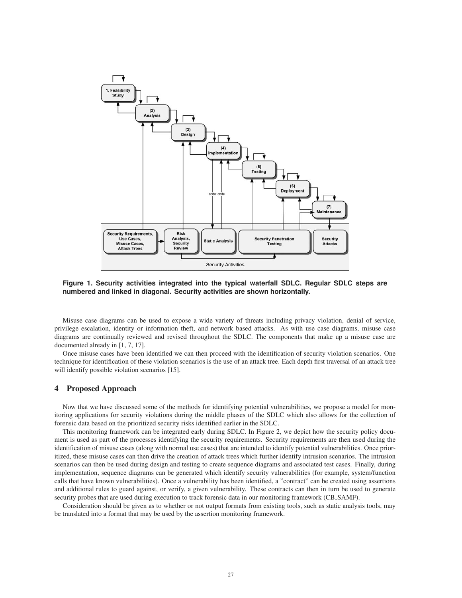

**Figure 1. Security activities integrated into the typical waterfall SDLC. Regular SDLC steps are numbered and linked in diagonal. Security activities are shown horizontally.**

Misuse case diagrams can be used to expose a wide variety of threats including privacy violation, denial of service, privilege escalation, identity or information theft, and network based attacks. As with use case diagrams, misuse case diagrams are continually reviewed and revised throughout the SDLC. The components that make up a misuse case are documented already in [1, 7, 17].

Once misuse cases have been identified we can then proceed with the identification of security violation scenarios. One technique for identification of these violation scenarios is the use of an attack tree. Each depth first traversal of an attack tree will identify possible violation scenarios [15].

#### 4 Proposed Approach

Now that we have discussed some of the methods for identifying potential vulnerabilities, we propose a model for monitoring applications for security violations during the middle phases of the SDLC which also allows for the collection of forensic data based on the prioritized security risks identified earlier in the SDLC.

This monitoring framework can be integrated early during SDLC. In Figure 2, we depict how the security policy document is used as part of the processes identifying the security requirements. Security requirements are then used during the identification of misuse cases (along with normal use cases) that are intended to identify potential vulnerabilities. Once prioritized, these misuse cases can then drive the creation of attack trees which further identify intrusion scenarios. The intrusion scenarios can then be used during design and testing to create sequence diagrams and associated test cases. Finally, during implementation, sequence diagrams can be generated which identify security vulnerabilities (for example, system/function calls that have known vulnerabilities). Once a vulnerability has been identified, a "contract" can be created using assertions and additional rules to guard against, or verify, a given vulnerability. These contracts can then in turn be used to generate security probes that are used during execution to track forensic data in our monitoring framework (CB SAMF).

Consideration should be given as to whether or not output formats from existing tools, such as static analysis tools, may be translated into a format that may be used by the assertion monitoring framework.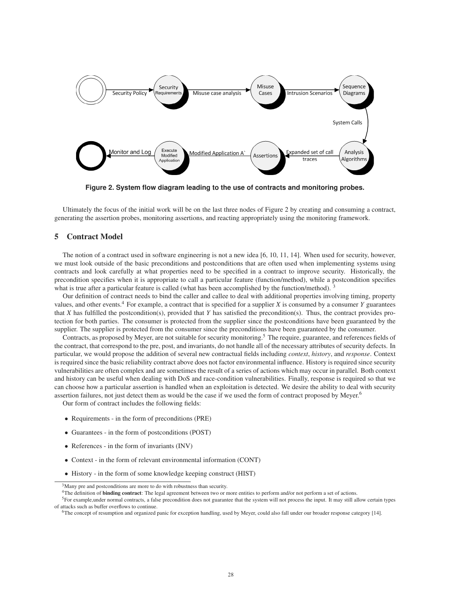

**Figure 2. System flow diagram leading to the use of contracts and monitoring probes.**

Ultimately the focus of the initial work will be on the last three nodes of Figure 2 by creating and consuming a contract, generating the assertion probes, monitoring assertions, and reacting appropriately using the monitoring framework.

#### 5 Contract Model

The notion of a contract used in software engineering is not a new idea [6, 10, 11, 14]. When used for security, however, we must look outside of the basic preconditions and postconditions that are often used when implementing systems using contracts and look carefully at what properties need to be specified in a contract to improve security. Historically, the precondition specifies when it is appropriate to call a particular feature (function/method), while a postcondition specifies what is true after a particular feature is called (what has been accomplished by the function/method).

Our definition of contract needs to bind the caller and callee to deal with additional properties involving timing, property values, and other events.<sup>4</sup> For example, a contract that is specified for a supplier  $X$  is consumed by a consumer  $Y$  guarantees that *X* has fulfilled the postcondition(s), provided that *Y* has satisfied the precondition(s). Thus, the contract provides protection for both parties. The consumer is protected from the supplier since the postconditions have been guaranteed by the supplier. The supplier is protected from the consumer since the preconditions have been guaranteed by the consumer.

Contracts, as proposed by Meyer, are not suitable for security monitoring.<sup>5</sup> The require, guarantee, and references fields of the contract, that correspond to the pre, post, and invariants, do not handle all of the necessary attributes of security defects. In particular, we would propose the addition of several new contractual fields including *context*, *history*, and *response*. Context is required since the basic reliability contract above does not factor environmental influence. History is required since security vulnerabilities are often complex and are sometimes the result of a series of actions which may occur in parallel. Both context and history can be useful when dealing with DoS and race-condition vulnerabilities. Finally, response is required so that we can choose how a particular assertion is handled when an exploitation is detected. We desire the ability to deal with security assertion failures, not just detect them as would be the case if we used the form of contract proposed by Meyer.<sup>6</sup>

Our form of contract includes the following fields:

- Requirements in the form of preconditions (PRE)
- Guarantees in the form of postconditions (POST)
- References in the form of invariants (INV)
- Context in the form of relevant environmental information (CONT)
- History in the form of some knowledge keeping construct (HIST)

<sup>&</sup>lt;sup>3</sup>Many pre and postconditions are more to do with robustness than security.

<sup>&</sup>lt;sup>4</sup>The definition of **binding contract**: The legal agreement between two or more entities to perform and/or not perform a set of actions.

<sup>&</sup>lt;sup>5</sup>For example,under normal contracts, a false precondition does not guarantee that the system will not process the input. It may still allow certain types of attacks such as buffer overflows to continue.

<sup>6</sup>The concept of resumption and organized panic for exception handling, used by Meyer, could also fall under our broader response category [14].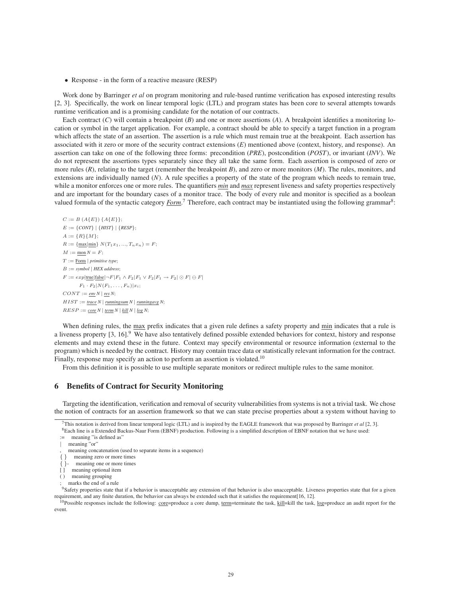• Response - in the form of a reactive measure (RESP)

Work done by Barringer *et al* on program monitoring and rule-based runtime verification has exposed interesting results [2, 3]. Specifically, the work on linear temporal logic (LTL) and program states has been core to several attempts towards runtime verification and is a promising candidate for the notation of our contracts.

Each contract  $(C)$  will contain a breakpoint  $(B)$  and one or more assertions  $(A)$ . A breakpoint identifies a monitoring location or symbol in the target application. For example, a contract should be able to specify a target function in a program which affects the state of an assertion. The assertion is a rule which must remain true at the breakpoint. Each assertion has associated with it zero or more of the security contract extensions (*E*) mentioned above (context, history, and response). An assertion can take on one of the following three forms: precondition (*PRE*), postcondition (*POST*), or invariant (*INV*). We do not represent the assertions types separately since they all take the same form. Each assertion is composed of zero or more rules (*R*), relating to the target (remember the breakpoint *B*), and zero or more monitors (*M*). The rules, monitors, and extensions are individually named (*N*). A rule specifies a property of the state of the program which needs to remain true, while a monitor enforces one or more rules. The quantifiers *min* and *max* represent liveness and safety properties respectively and are important for the boundary cases of a monitor trace. The body of every rule and monitor is specified as a boolean valued formula of the syntactic category *Form*.<sup>7</sup> Therefore, each contract may be instantiated using the following grammar<sup>8</sup>:

 $C := B(A{E}) {A{E}};$  $E := \{CONT\} | \{HIST\} | \{RESP\};$  $A := \{R\}\{M\};$  $R := \{\underline{\max}|\underline{\min}\}\ N(T_1x_1, ..., T_nx_n) = F;$  $M := \underline{mon} N = F;$ T := Form | *primitive type*; B := *symbol* | *HEX address*;  $F := exp|\text{true}|\text{false}|\neg F|F_1 \wedge F_2|F_1 \vee F_2|F_1 \rightarrow F_2| \odot F| \ominus F|$  $F_1 \cdot F_2 | N(F_1, \ldots, F_n) | x_i;$  $CONT := env N | res N;$  $HIST := \text{trace } N \mid \text{runningsum } N \mid \text{runningavg } N;$  $RESP := core N | term N | kill N | log N;$ 

When defining rules, the max prefix indicates that a given rule defines a safety property and min indicates that a rule is a liveness property [3, 16].<sup>9</sup> We have also tentatively defined possible extended behaviors for context, history and response elements and may extend these in the future. Context may specify environmental or resource information (external to the program) which is needed by the contract. History may contain trace data or statistically relevant information for the contract. Finally, response may specify an action to perform an assertion is violated.<sup>10</sup>

From this definition it is possible to use multiple separate monitors or redirect multiple rules to the same monitor.

#### 6 Benefits of Contract for Security Monitoring

Targeting the identification, verification and removal of security vulnerabilities from systems is not a trivial task. We chose the notion of contracts for an assertion framework so that we can state precise properties about a system without having to

<sup>7</sup>This notation is derived from linear temporal logic (LTL) and is inspired by the EAGLE framework that was proposed by Barringer *et al* [2, 3]. 8Each line is a Extended Backus-Naur Form (EBNF) production. Following is a simplified description of EBNF notation that we have used:

<sup>:=</sup> meaning "is defined as"

<sup>|</sup> meaning "or"

meaning concatenation (used to separate items in a sequence)

<sup>{ }</sup> meaning zero or more times

<sup>{ }</sup>- meaning one or more times

<sup>[ ]</sup> meaning optional item

<sup>( )</sup> meaning grouping

marks the end of a rule

 $9$ Safety properties state that if a behavior is unacceptable any extension of that behavior is also unacceptable. Liveness properties state that for a given requirement, and any finite duration, the behavior can always be extended such that it satisfies the requirement[16, 12].

<sup>&</sup>lt;sup>0</sup>Possible responses include the following: core=produce a core dump, term=terminate the task, kill=kill the task, log=produce an audit report for the event.